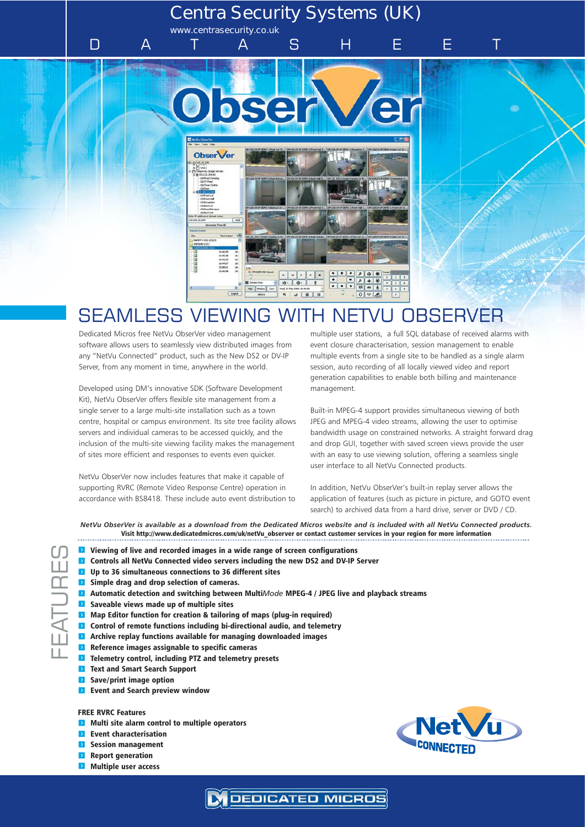# **Centra Security Systems (UK)**

**www.centrasecurity.co.uk**

DATASHEET



# SEAMLESS VIEWING WITH NETVU OBSERVER

Dedicated Micros free NetVu ObserVer video management software allows users to seamlessly view distributed images from any "NetVu Connected" product, such as the New DS2 or DV-IP Server, from any moment in time, anywhere in the world.

Developed using DM's innovative SDK (Software Development Kit), NetVu ObserVer offers flexible site management from a single server to a large multi-site installation such as a town centre, hospital or campus environment. Its site tree facility allows servers and individual cameras to be accessed quickly, and the inclusion of the multi-site viewing facility makes the management of sites more efficient and responses to events even quicker.

NetVu ObserVer now includes features that make it capable of supporting RVRC (Remote Video Response Centre) operation in accordance with BS8418. These include auto event distribution to multiple user stations, a full SQL database of received alarms with event closure characterisation, session management to enable multiple events from a single site to be handled as a single alarm session, auto recording of all locally viewed video and report generation capabilities to enable both billing and maintenance management.

Built-in MPEG-4 support provides simultaneous viewing of both JPEG and MPEG-4 video streams, allowing the user to optimise bandwidth usage on constrained networks. A straight forward drag and drop GUI, together with saved screen views provide the user with an easy to use viewing solution, offering a seamless single user interface to all NetVu Connected products.

In addition, NetVu ObserVer's built-in replay server allows the application of features (such as picture in picture, and GOTO event search) to archived data from a hard drive, server or DVD / CD.

*NetVu ObserVer is available as a download from the Dedicated Micros website and is included with all NetVu Connected products.* Visit http://www.dedicatedmicros.com/uk/netVu\_observer or contact customer services in your region for more information

**DEDICATED MICROS** 

- $\blacktriangleright$  Viewing of live and recorded images in a wide range of screen configurations
- **E** Controls all NetVu Connected video servers including the new DS2 and DV-IP Server
- $\blacksquare$  Up to 36 simultaneous connections to 36 different sites
- **F** Simple drag and drop selection of cameras.
- **E** Automatic detection and switching between MultiMode MPEG-4 / JPEG live and playback streams
- $\blacksquare$  Saveable views made up of multiple sites
- $\blacktriangleright$  Map Editor function for creation & tailoring of maps (plug-in required)
- $\triangleright$  Control of remote functions including bi-directional audio, and telemetry
- $\blacktriangleright$  Archive replay functions available for managing downloaded images
- $\blacktriangleright$  Reference images assignable to specific cameras
- $\blacktriangleright$  Telemetry control, including PTZ and telemetry presets
- **F** Text and Smart Search Support
- **F** Save/print image option
- **Execute 2 Event and Search preview window**

#### FREE RVRC Features

FEATURES

- $\triangleright$  Multi site alarm control to multiple operators
- **Event characterisation**
- **Session management**
- **Report generation**
- $\triangleright$  Multiple user access

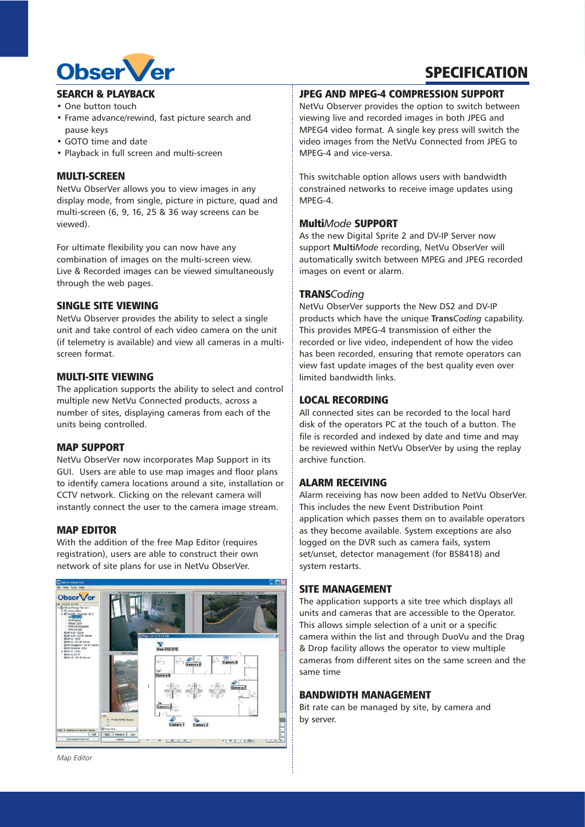## SEARCH & PLAYBACK

Obser *Ver* 

- One button touch
- Frame advance/rewind, fast picture search and pause keys
- GOTO time and date
- Playback in full screen and multi-screen

## MULTI-SCREEN

NetVu ObserVer allows you to view images in any display mode, from single, picture in picture, quad and multi-screen (6, 9, 16, 25 & 36 way screens can be viewed).

For ultimate flexibility you can now have any combination of images on the multi-screen view. Live & Recorded images can be viewed simultaneously through the web pages.

## SINGLE SITE VIEWING

NetVu Observer provides the ability to select a single unit and take control of each video camera on the unit (if telemetry is available) and view all cameras in a multiscreen format.

## MULTI-SITE VIEWING

The application supports the ability to select and control multiple new NetVu Connected products, across a number of sites, displaying cameras from each of the units being controlled.

#### MAP SUPPORT

NetVu ObserVer now incorporates Map Support in its GUI. Users are able to use map images and floor plans to identify camera locations around a site, installation or CCTV network. Clicking on the relevant camera will instantly connect the user to the camera image stream.

#### MAP EDITOR

With the addition of the free Map Editor (requires registration), users are able to construct their own network of site plans for use in NetVu ObserVer.



## JPEG AND MPEG-4 COMPRESSION SUPPORT

NetVu Observer provides the option to switch between viewing live and recorded images in both JPEG and MPEG4 video format. A single key press will switch the video images from the NetVu Connected from JPEG to MPEG-4 and vice-versa.

**SPECIFICATION** 

This switchable option allows users with bandwidth constrained networks to receive image updates using MPEG-4.

## Multi*Mode* SUPPORT

As the new Digital Sprite 2 and DV-IP Server now support **Multi***Mode* recording, NetVu ObserVer will automatically switch between MPEG and JPEG recorded images on event or alarm.

#### TRANS*Coding*

NetVu ObserVer supports the New DS2 and DV-IP products which have the unique **Trans***Coding* capability. This provides MPEG-4 transmission of either the recorded or live video, independent of how the video has been recorded, ensuring that remote operators can view fast update images of the best quality even over limited bandwidth links.

#### LOCAL RECORDING

All connected sites can be recorded to the local hard disk of the operators PC at the touch of a button. The file is recorded and indexed by date and time and may be reviewed within NetVu ObserVer by using the replay archive function.

## ALARM RECEIVING

Alarm receiving has now been added to NetVu ObserVer. This includes the new Event Distribution Point application which passes them on to available operators as they become available. System exceptions are also logged on the DVR such as camera fails, system set/unset, detector management (for BS8418) and system restarts.

#### SITE MANAGEMENT

The application supports a site tree which displays all units and cameras that are accessible to the Operator. This allows simple selection of a unit or a specific camera within the list and through DuoVu and the Drag & Drop facility allows the operator to view multiple cameras from different sites on the same screen and the same time

## BANDWIDTH MANAGEMENT

Bit rate can be managed by site, by camera and by server.

*Map Editor*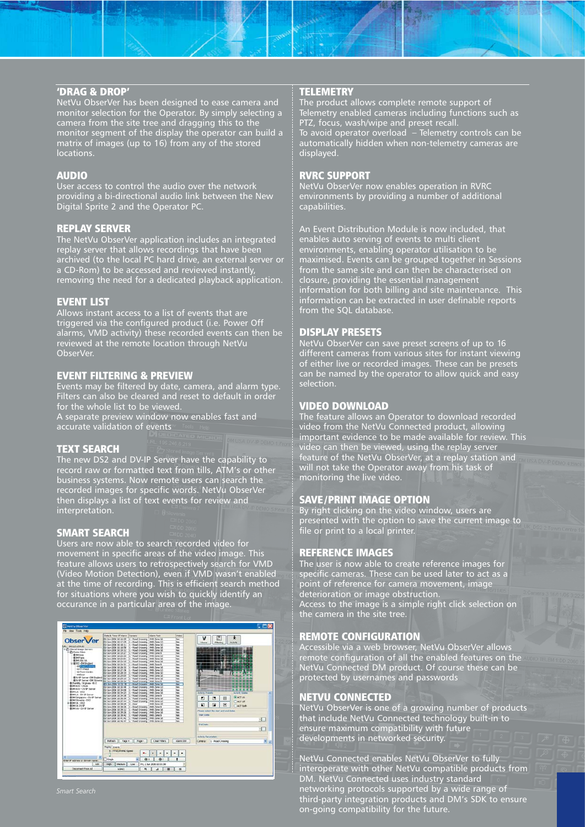## 'DRAG & DROP'

NetVu ObserVer has been designed to ease camera and monitor selection for the Operator. By simply selecting a camera from the site tree and dragging this to the monitor segment of the display the operator can build a matrix of images (up to 16) from any of the stored locations.

#### AUDIO

User access to control the audio over the network providing a bi-directional audio link between the New Digital Sprite 2 and the Operator PC.

#### REPLAY SERVER

The NetVu ObserVer application includes an integrated replay server that allows recordings that have been archived (to the local PC hard drive, an external server or a CD-Rom) to be accessed and reviewed instantly, removing the need for a dedicated playback application.

#### EVENT LIST

Allows instant access to a list of events that are triggered via the configured product (i.e. Power Off alarms, VMD activity) these recorded events can then be reviewed at the remote location through NetVu ObserVer.

## EVENT FILTERING & PREVIEW

Events may be filtered by date, camera, and alarm type. Filters can also be cleared and reset to default in order for the whole list to be viewed.

A separate preview window now enables fast and accurate validation of events

#### TEXT SEARCH

The new DS2 and DV-IP Server have the capability to record raw or formatted text from tills, ATM's or other business systems. Now remote users can search the recorded images for specific words. NetVu ObserVer then displays a list of text events for review and interpretation.

#### SMART SEARCH

Users are now able to search recorded video for movement in specific areas of the video image. This feature allows users to retrospectively search for VMD (Video Motion Detection), even if VMD wasn't enabled at the time of recording. This is efficient search method for situations where you wish to quickly identify an occurance in a particular area of the image.



#### *Smart Search*

## **TELEMETRY**

The product allows complete remote support of Telemetry enabled cameras including functions such as PTZ, focus, wash/wipe and preset recall. To avoid operator overload – Telemetry controls can be automatically hidden when non-telemetry cameras are displayed.

## RVRC SUPPORT

NetVu ObserVer now enables operation in RVRC environments by providing a number of additional capabilities.

An Event Distribution Module is now included, that enables auto serving of events to multi client environments, enabling operator utilisation to be maximised. Events can be grouped together in Sessions from the same site and can then be characterised on closure, providing the essential management information for both billing and site maintenance. This information can be extracted in user definable reports from the SQL database.

#### DISPLAY PRESETS

NetVu ObserVer can save preset screens of up to 16 different cameras from various sites for instant viewing of either live or recorded images. These can be presets can be named by the operator to allow quick and easy selection.

#### VIDEO DOWNLOAD

The feature allows an Operator to download recorded video from the NetVu Connected product, allowing important evidence to be made available for review. This video can then be viewed, using the replay server feature of the NetVu ObserVer, at a replay station and will not take the Operator away from his task of monitoring the live video.

## SAVE/PRINT IMAGE OPTION

By right clicking on the video window, users are presented with the option to save the current image to file or print to a local printer.

#### REFERENCE IMAGES

The user is now able to create reference images for specific cameras. These can be used later to act as a point of reference for camera movement, image deterioration or image obstruction. Access to the image is a simple right click selection on the camera in the site tree.

#### REMOTE CONFIGURATION

Accessible via a web browser, NetVu ObserVer allows remote configuration of all the enabled features on the NetVu Connected DM product. Of course these can be protected by usernames and passwords

#### NETVU CONNECTED

NetVu ObserVer is one of a growing number of products that include NetVu Connected technology built-in to ensure maximum compatibility with future developments in networked security.

NetVu Connected enables NetVu ObserVer to fully interoperate with other NetVu compatible products from DM. NetVu Connected uses industry standard networking protocols supported by a wide range of third-party integration products and DM's SDK to ensure on-going compatibility for the future.